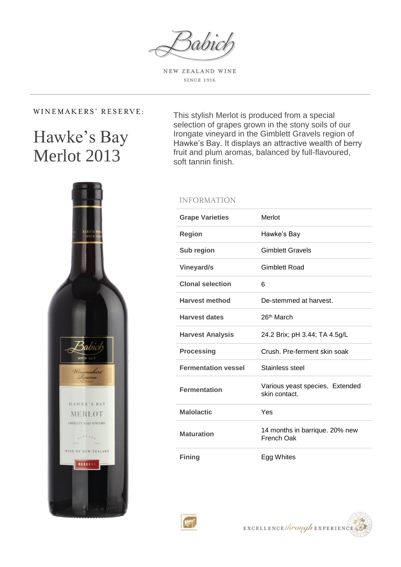babia

NEW ZEALAND WINE **SINCE 1916** 

## WINEMAKERS' RESERVE:

# Hawke's Bay Merlot 2013

This stylish Merlot is produced from a special selection of grapes grown in the stony soils of our Irongate vineyard in the Gimblett Gravels region of Hawke's Bay. It displays an attractive wealth of berry fruit and plum aromas, balanced by full-flavoured, soft tannin finish.



## **INFORMATION**

| <b>Grape Varieties</b>     | Merlot                                           |
|----------------------------|--------------------------------------------------|
| <b>Region</b>              | Hawke's Bay                                      |
| Sub region                 | <b>Gimblett Gravels</b>                          |
| <b>Vineyard/s</b>          | <b>Gimblett Road</b>                             |
| <b>Clonal selection</b>    | 6                                                |
| <b>Harvest method</b>      | De-stemmed at harvest.                           |
| <b>Harvest dates</b>       | 26 <sup>th</sup> March                           |
| <b>Harvest Analysis</b>    | 24.2 Brix; pH 3.44; TA 4.5g/L                    |
| <b>Processing</b>          | Crush, Pre-ferment skin soak                     |
| <b>Fermentation vessel</b> | Stainless steel                                  |
| <b>Fermentation</b>        | Various yeast species. Extended<br>skin contact. |
| <b>Malolactic</b>          | Yes                                              |
| <b>Maturation</b>          | 14 months in barrique. 20% new<br>French Oak     |
| <b>Fining</b>              | Egg Whites                                       |